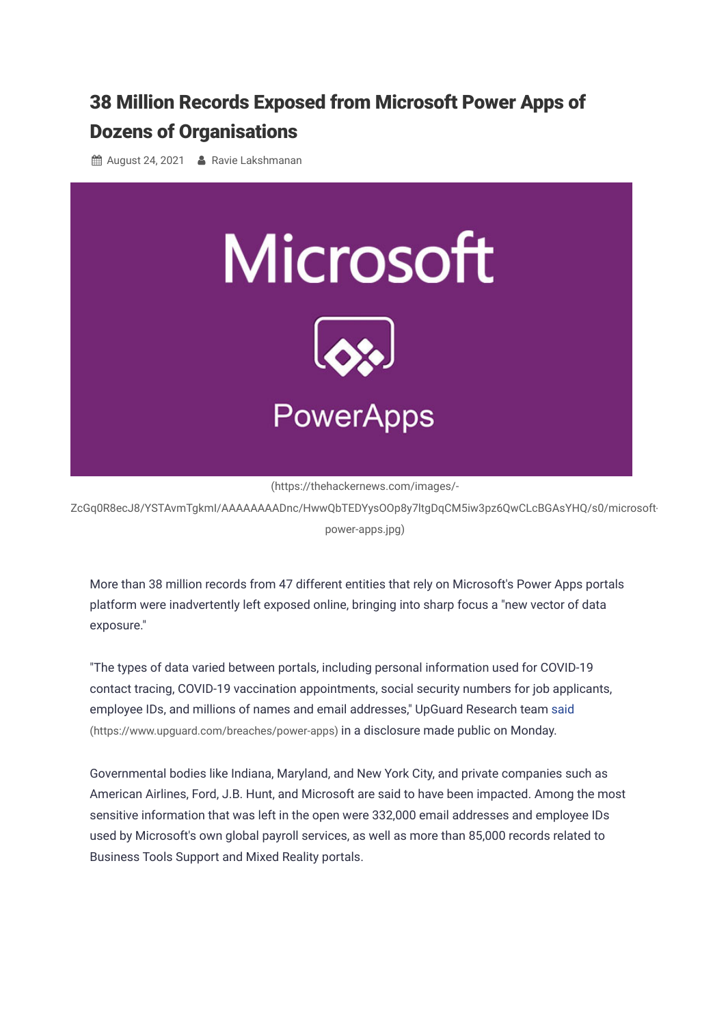## 38 Million Records Exposed from Microsoft Power Apps of Dozens of [Organisations](https://thehackernews.com/2021/08/38-million-records-exposed-from.html)

**A** August 24, 2021 **A** [Ravie Lakshmanan](https://thehackernews.com/p/authors.html)



(https://thehackernews.com/images/-

[ZcGq0R8ecJ8/YSTAvmTgkmI/AAAAAAAADnc/HwwQbTEDYysOOp8y7ltgDqCM5iw3pz6QwCLcBGAsYHQ/s0/microsoft](https://thehackernews.com/images/-ZcGq0R8ecJ8/YSTAvmTgkmI/AAAAAAAADnc/HwwQbTEDYysOOp8y7ltgDqCM5iw3pz6QwCLcBGAsYHQ/s0/microsoft-power-apps.jpg)power-apps.jpg)

More than 38 million records from 47 different entities that rely on Microsoft's Power Apps portals platform were inadvertently left exposed online, bringing into sharp focus a "new vector of data exposure."

"The types of data varied between portals, including personal information used for COVID-19 contact tracing, COVID-19 vaccination appointments, social security numbers for job applicants, [employee IDs, and millions of names and email addresses," UpGuard Research team said](https://www.upguard.com/breaches/power-apps) (https://www.upguard.com/breaches/power-apps) in a disclosure made public on Monday.

Governmental bodies like Indiana, Maryland, and New York City, and private companies such as American Airlines, Ford, J.B. Hunt, and Microsoft are said to have been impacted. Among the most sensitive information that was left in the open were 332,000 email addresses and employee IDs used by Microsoft's own global payroll services, as well as more than 85,000 records related to Business Tools Support and Mixed Reality portals.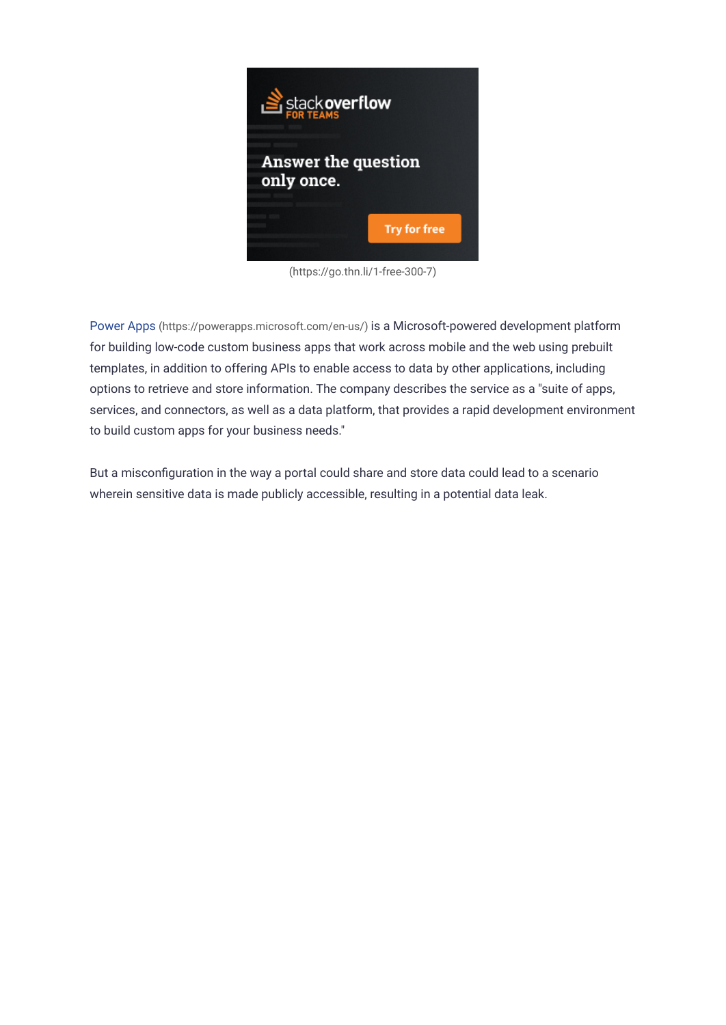

[\(https://go.thn.li/1-free-300-7\)](https://go.thn.li/1-free-300-7)

Power Apps [\(https://powerapps.microsoft.com/en-us/\)](https://powerapps.microsoft.com/en-us/) is a Microsoft-powered development platform for building low-code custom business apps that work across mobile and the web using prebuilt templates, in addition to offering APIs to enable access to data by other applications, including options to retrieve and store information. The company describes the service as a "suite of apps, services, and connectors, as well as a data platform, that provides a rapid development environment to build custom apps for your business needs."

But a misconfiguration in the way a portal could share and store data could lead to a scenario wherein sensitive data is made publicly accessible, resulting in a potential data leak.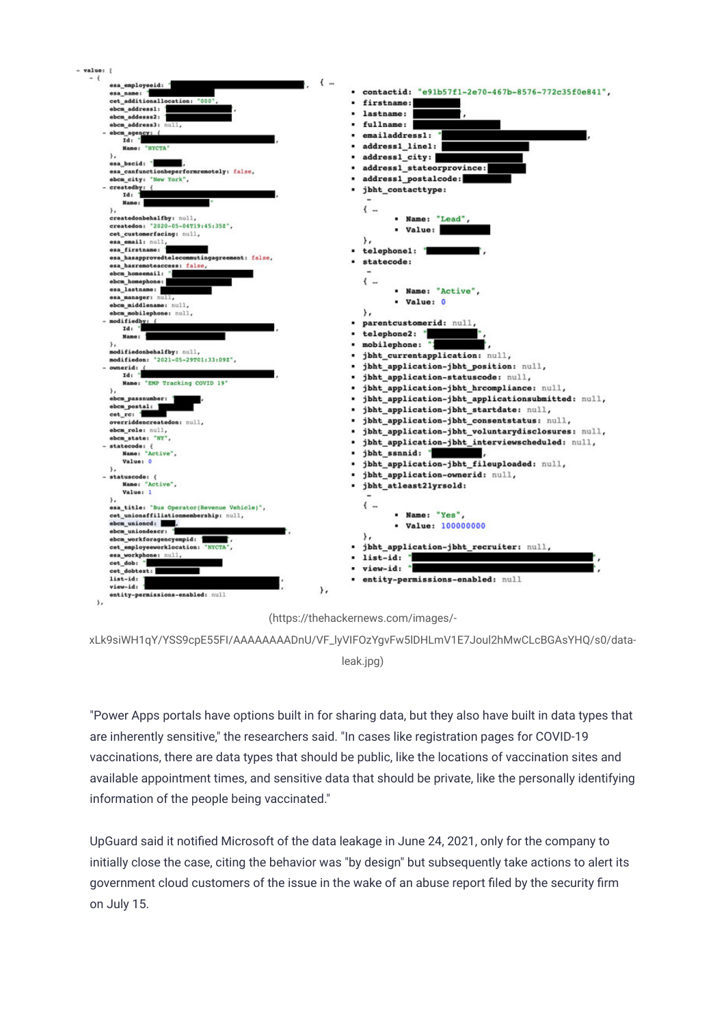

(https://thehackernews.com/images/-

[xLk9siWH1qY/YSS9cpE55FI/AAAAAAAADnU/VF\\_lyVIFOzYgvFw5lDHLmV1E7Joul2hMwCLcBGAsYHQ/s0/data](https://thehackernews.com/images/-xLk9siWH1qY/YSS9cpE55FI/AAAAAAAADnU/VF_lyVIFOzYgvFw5lDHLmV1E7Joul2hMwCLcBGAsYHQ/s0/data-leak.jpg)leak.jpg)

"Power Apps portals have options built in for sharing data, but they also have built in data types that are inherently sensitive," the researchers said. "In cases like registration pages for COVID-19 vaccinations, there are data types that should be public, like the locations of vaccination sites and available appointment times, and sensitive data that should be private, like the personally identifying information of the people being vaccinated."

UpGuard said it notified Microsoft of the data leakage in June 24, 2021, only for the company to initially close the case, citing the behavior was "by design" but subsequently take actions to alert its government cloud customers of the issue in the wake of an abuse report filed by the security firm on July 15.